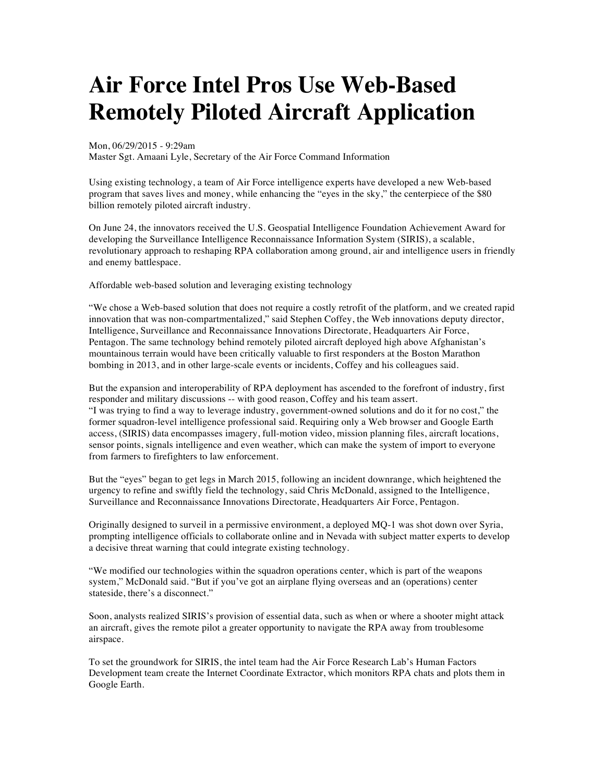## **Air Force Intel Pros Use Web-Based Remotely Piloted Aircraft Application**

Mon, 06/29/2015 - 9:29am

Master Sgt. Amaani Lyle, Secretary of the Air Force Command Information

Using existing technology, a team of Air Force intelligence experts have developed a new Web-based program that saves lives and money, while enhancing the "eyes in the sky," the centerpiece of the \$80 billion remotely piloted aircraft industry.

On June 24, the innovators received the U.S. Geospatial Intelligence Foundation Achievement Award for developing the Surveillance Intelligence Reconnaissance Information System (SIRIS), a scalable, revolutionary approach to reshaping RPA collaboration among ground, air and intelligence users in friendly and enemy battlespace.

Affordable web-based solution and leveraging existing technology

"We chose a Web-based solution that does not require a costly retrofit of the platform, and we created rapid innovation that was non-compartmentalized," said Stephen Coffey, the Web innovations deputy director, Intelligence, Surveillance and Reconnaissance Innovations Directorate, Headquarters Air Force, Pentagon. The same technology behind remotely piloted aircraft deployed high above Afghanistan's mountainous terrain would have been critically valuable to first responders at the Boston Marathon bombing in 2013, and in other large-scale events or incidents, Coffey and his colleagues said.

But the expansion and interoperability of RPA deployment has ascended to the forefront of industry, first responder and military discussions -- with good reason, Coffey and his team assert. "I was trying to find a way to leverage industry, government-owned solutions and do it for no cost," the former squadron-level intelligence professional said. Requiring only a Web browser and Google Earth access, (SIRIS) data encompasses imagery, full-motion video, mission planning files, aircraft locations, sensor points, signals intelligence and even weather, which can make the system of import to everyone from farmers to firefighters to law enforcement.

But the "eyes" began to get legs in March 2015, following an incident downrange, which heightened the urgency to refine and swiftly field the technology, said Chris McDonald, assigned to the Intelligence, Surveillance and Reconnaissance Innovations Directorate, Headquarters Air Force, Pentagon.

Originally designed to surveil in a permissive environment, a deployed MQ-1 was shot down over Syria, prompting intelligence officials to collaborate online and in Nevada with subject matter experts to develop a decisive threat warning that could integrate existing technology.

"We modified our technologies within the squadron operations center, which is part of the weapons system," McDonald said. "But if you've got an airplane flying overseas and an (operations) center stateside, there's a disconnect."

Soon, analysts realized SIRIS's provision of essential data, such as when or where a shooter might attack an aircraft, gives the remote pilot a greater opportunity to navigate the RPA away from troublesome airspace.

To set the groundwork for SIRIS, the intel team had the Air Force Research Lab's Human Factors Development team create the Internet Coordinate Extractor, which monitors RPA chats and plots them in Google Earth.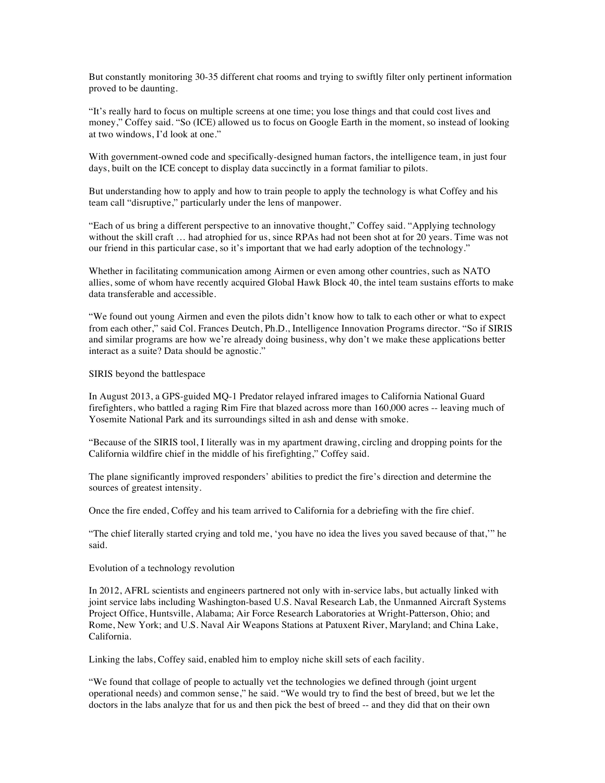But constantly monitoring 30-35 different chat rooms and trying to swiftly filter only pertinent information proved to be daunting.

"It's really hard to focus on multiple screens at one time; you lose things and that could cost lives and money," Coffey said. "So (ICE) allowed us to focus on Google Earth in the moment, so instead of looking at two windows, I'd look at one."

With government-owned code and specifically-designed human factors, the intelligence team, in just four days, built on the ICE concept to display data succinctly in a format familiar to pilots.

But understanding how to apply and how to train people to apply the technology is what Coffey and his team call "disruptive," particularly under the lens of manpower.

"Each of us bring a different perspective to an innovative thought," Coffey said. "Applying technology without the skill craft ... had atrophied for us, since RPAs had not been shot at for 20 years. Time was not our friend in this particular case, so it's important that we had early adoption of the technology."

Whether in facilitating communication among Airmen or even among other countries, such as NATO allies, some of whom have recently acquired Global Hawk Block 40, the intel team sustains efforts to make data transferable and accessible.

"We found out young Airmen and even the pilots didn't know how to talk to each other or what to expect from each other," said Col. Frances Deutch, Ph.D., Intelligence Innovation Programs director. "So if SIRIS and similar programs are how we're already doing business, why don't we make these applications better interact as a suite? Data should be agnostic."

SIRIS beyond the battlespace

In August 2013, a GPS-guided MQ-1 Predator relayed infrared images to California National Guard firefighters, who battled a raging Rim Fire that blazed across more than 160,000 acres -- leaving much of Yosemite National Park and its surroundings silted in ash and dense with smoke.

"Because of the SIRIS tool, I literally was in my apartment drawing, circling and dropping points for the California wildfire chief in the middle of his firefighting," Coffey said.

The plane significantly improved responders' abilities to predict the fire's direction and determine the sources of greatest intensity.

Once the fire ended, Coffey and his team arrived to California for a debriefing with the fire chief.

"The chief literally started crying and told me, 'you have no idea the lives you saved because of that,'" he said.

Evolution of a technology revolution

In 2012, AFRL scientists and engineers partnered not only with in-service labs, but actually linked with joint service labs including Washington-based U.S. Naval Research Lab, the Unmanned Aircraft Systems Project Office, Huntsville, Alabama; Air Force Research Laboratories at Wright-Patterson, Ohio; and Rome, New York; and U.S. Naval Air Weapons Stations at Patuxent River, Maryland; and China Lake, California.

Linking the labs, Coffey said, enabled him to employ niche skill sets of each facility.

"We found that collage of people to actually vet the technologies we defined through (joint urgent operational needs) and common sense," he said. "We would try to find the best of breed, but we let the doctors in the labs analyze that for us and then pick the best of breed -- and they did that on their own